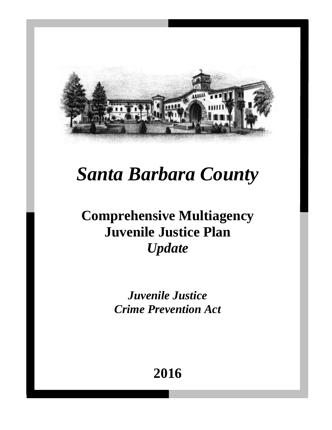

# *Santa Barbara County*

# **Comprehensive Multiagency Juvenile Justice Plan** *Update*

*Juvenile Justice Crime Prevention Act*

# **2016**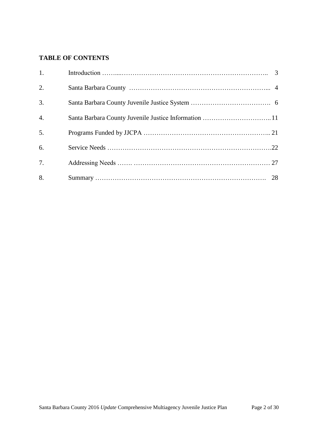# **TABLE OF CONTENTS**

| 1.               |  |
|------------------|--|
| 2.               |  |
| 3.               |  |
| $\overline{4}$ . |  |
| 5.               |  |
| 6.               |  |
| 7.               |  |
| 8.               |  |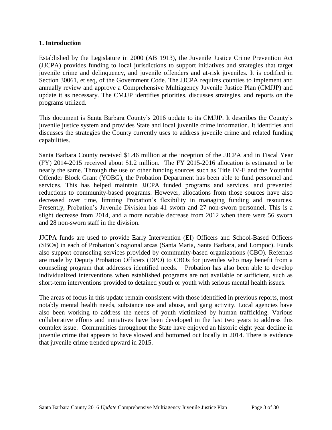# **1. Introduction**

Established by the Legislature in 2000 (AB 1913), the Juvenile Justice Crime Prevention Act (JJCPA) provides funding to local jurisdictions to support initiatives and strategies that target juvenile crime and delinquency, and juvenile offenders and at-risk juveniles. It is codified in Section 30061, et seq, of the Government Code. The JJCPA requires counties to implement and annually review and approve a Comprehensive Multiagency Juvenile Justice Plan (CMJJP) and update it as necessary. The CMJJP identifies priorities, discusses strategies, and reports on the programs utilized.

This document is Santa Barbara County's 2016 update to its CMJJP. It describes the County's juvenile justice system and provides State and local juvenile crime information. It identifies and discusses the strategies the County currently uses to address juvenile crime and related funding capabilities.

Santa Barbara County received \$1.46 million at the inception of the JJCPA and in Fiscal Year (FY) 2014-2015 received about \$1.2 million. The FY 2015-2016 allocation is estimated to be nearly the same. Through the use of other funding sources such as Title IV-E and the Youthful Offender Block Grant (YOBG), the Probation Department has been able to fund personnel and services. This has helped maintain JJCPA funded programs and services, and prevented reductions to community-based programs. However, allocations from those sources have also decreased over time, limiting Probation's flexibility in managing funding and resources. Presently, Probation's Juvenile Division has 41 sworn and 27 non-sworn personnel. This is a slight decrease from 2014, and a more notable decrease from 2012 when there were 56 sworn and 28 non-sworn staff in the division.

JJCPA funds are used to provide Early Intervention (EI) Officers and School-Based Officers (SBOs) in each of Probation's regional areas (Santa Maria, Santa Barbara, and Lompoc). Funds also support counseling services provided by community-based organizations (CBO). Referrals are made by Deputy Probation Officers (DPO) to CBOs for juveniles who may benefit from a counseling program that addresses identified needs. Probation has also been able to develop individualized interventions when established programs are not available or sufficient, such as short-term interventions provided to detained youth or youth with serious mental health issues.

The areas of focus in this update remain consistent with those identified in previous reports, most notably mental health needs, substance use and abuse, and gang activity. Local agencies have also been working to address the needs of youth victimized by human trafficking. Various collaborative efforts and initiatives have been developed in the last two years to address this complex issue. Communities throughout the State have enjoyed an historic eight year decline in juvenile crime that appears to have slowed and bottomed out locally in 2014. There is evidence that juvenile crime trended upward in 2015.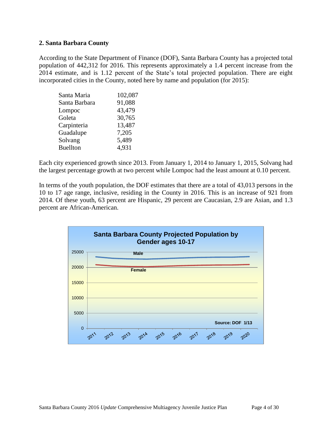# **2. Santa Barbara County**

According to the State Department of Finance (DOF), Santa Barbara County has a projected total population of 442,312 for 2016. This represents approximately a 1.4 percent increase from the 2014 estimate, and is 1.12 percent of the State's total projected population. There are eight incorporated cities in the County, noted here by name and population (for 2015):

| Santa Maria     | 102,087 |
|-----------------|---------|
| Santa Barbara   | 91,088  |
| Lompoc          | 43,479  |
| Goleta          | 30,765  |
| Carpinteria     | 13,487  |
| Guadalupe       | 7,205   |
| Solvang         | 5,489   |
| <b>Buellton</b> | 4,931   |

Each city experienced growth since 2013. From January 1, 2014 to January 1, 2015, Solvang had the largest percentage growth at two percent while Lompoc had the least amount at 0.10 percent.

In terms of the youth population, the DOF estimates that there are a total of 43,013 persons in the 10 to 17 age range, inclusive, residing in the County in 2016. This is an increase of 921 from 2014. Of these youth, 63 percent are Hispanic, 29 percent are Caucasian, 2.9 are Asian, and 1.3 percent are African-American.

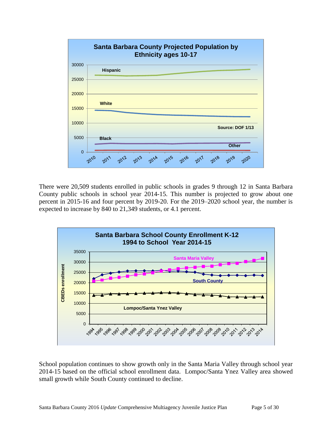

There were 20,509 students enrolled in public schools in grades 9 through 12 in Santa Barbara County public schools in school year 2014-15. This number is projected to grow about one percent in 2015-16 and four percent by 2019-20. For the 2019–2020 school year, the number is expected to increase by 840 to 21,349 students, or 4.1 percent.



School population continues to show growth only in the Santa Maria Valley through school year 2014-15 based on the official school enrollment data. Lompoc/Santa Ynez Valley area showed small growth while South County continued to decline.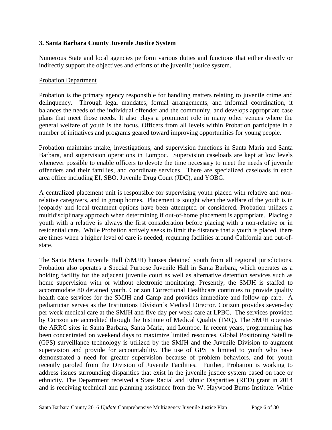# **3. Santa Barbara County Juvenile Justice System**

Numerous State and local agencies perform various duties and functions that either directly or indirectly support the objectives and efforts of the juvenile justice system.

#### Probation Department

Probation is the primary agency responsible for handling matters relating to juvenile crime and delinquency. Through legal mandates, formal arrangements, and informal coordination, it balances the needs of the individual offender and the community, and develops appropriate case plans that meet those needs. It also plays a prominent role in many other venues where the general welfare of youth is the focus. Officers from all levels within Probation participate in a number of initiatives and programs geared toward improving opportunities for young people.

Probation maintains intake, investigations, and supervision functions in Santa Maria and Santa Barbara, and supervision operations in Lompoc. Supervision caseloads are kept at low levels whenever possible to enable officers to devote the time necessary to meet the needs of juvenile offenders and their families, and coordinate services. There are specialized caseloads in each area office including EI, SBO, Juvenile Drug Court (JDC), and YOBG.

A centralized placement unit is responsible for supervising youth placed with relative and nonrelative caregivers, and in group homes. Placement is sought when the welfare of the youth is in jeopardy and local treatment options have been attempted or considered. Probation utilizes a multidisciplinary approach when determining if out-of-home placement is appropriate. Placing a youth with a relative is always the first consideration before placing with a non-relative or in residential care. While Probation actively seeks to limit the distance that a youth is placed, there are times when a higher level of care is needed, requiring facilities around California and out-ofstate.

The Santa Maria Juvenile Hall (SMJH) houses detained youth from all regional jurisdictions. Probation also operates a Special Purpose Juvenile Hall in Santa Barbara, which operates as a holding facility for the adjacent juvenile court as well as alternative detention services such as home supervision with or without electronic monitoring. Presently, the SMJH is staffed to accommodate 80 detained youth. Corizon Correctional Healthcare continues to provide quality health care services for the SMJH and Camp and provides immediate and follow-up care. A pediatrician serves as the Institutions Division's Medical Director. Corizon provides seven-day per week medical care at the SMJH and five day per week care at LPBC. The services provided by Corizon are accredited through the Institute of Medical Quality (IMQ). The SMJH operates the ARRC sites in Santa Barbara, Santa Maria, and Lompoc. In recent years, programming has been concentrated on weekend days to maximize limited resources. Global Positioning Satellite (GPS) surveillance technology is utilized by the SMJH and the Juvenile Division to augment supervision and provide for accountability. The use of GPS is limited to youth who have demonstrated a need for greater supervision because of problem behaviors, and for youth recently paroled from the Division of Juvenile Facilities. Further, Probation is working to address issues surrounding disparities that exist in the juvenile justice system based on race or ethnicity. The Department received a State Racial and Ethnic Disparities (RED) grant in 2014 and is receiving technical and planning assistance from the W. Haywood Burns Institute. While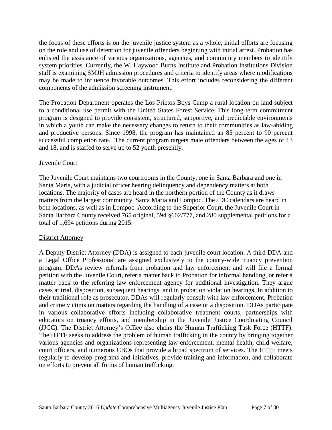the focus of these efforts is on the juvenile justice system as a whole, initial efforts are focusing on the role and use of detention for juvenile offenders beginning with initial arrest. Probation has enlisted the assistance of various organizations, agencies, and community members to identify system priorities. Currently, the W. Haywood Burns Institute and Probation Institutions Division staff is examining SMJH admission procedures and criteria to identify areas where modifications may be made to influence favorable outcomes. This effort includes reconsidering the different components of the admission screening instrument.

The Probation Department operates the Los Prietos Boys Camp a rural location on land subject to a conditional use permit with the United States Forest Service. This long-term commitment program is designed to provide consistent, structured, supportive, and predictable environments in which a youth can make the necessary changes to return to their communities as law-abiding and productive persons. Since 1998, the program has maintained an 85 percent to 90 percent successful completion rate. The current program targets male offenders between the ages of 13 and 18, and is staffed to serve up to 52 youth presently.

# Juvenile Court

The Juvenile Court maintains two courtrooms in the County, one in Santa Barbara and one in Santa Maria, with a judicial officer hearing delinquency and dependency matters at both locations. The majority of cases are heard in the northern portion of the County as it draws matters from the largest community, Santa Maria and Lompoc. The JDC calendars are heard in both locations, as well as in Lompoc. According to the Superior Court, the Juvenile Court in Santa Barbara County received 765 original, 594 §602/777, and 280 supplemental petitions for a total of 1,694 petitions during 2015.

# District Attorney

A Deputy District Attorney (DDA) is assigned to each juvenile court location. A third DDA and a Legal Office Professional are assigned exclusively to the county-wide truancy prevention program. DDAs review referrals from probation and law enforcement and will file a formal petition with the Juvenile Court, refer a matter back to Probation for informal handling, or refer a matter back to the referring law enforcement agency for additional investigation. They argue cases at trial, disposition, subsequent hearings, and in probation violation hearings. In addition to their traditional role as prosecutor, DDAs will regularly consult with law enforcement, Probation and crime victims on matters regarding the handling of a case or a disposition. DDAs participate in various collaborative efforts including collaborative treatment courts, partnerships with educators on truancy efforts, and membership in the Juvenile Justice Coordinating Council (JJCC). The District Attorney's Office also chairs the Human Trafficking Task Force (HTTF). The HTTF seeks to address the problem of human trafficking in the county by bringing together various agencies and organizations representing law enforcement, mental health, child welfare, court officers, and numerous CBOs that provide a broad spectrum of services. The HTTF meets regularly to develop programs and initiatives, provide training and information, and collaborate on efforts to prevent all forms of human trafficking.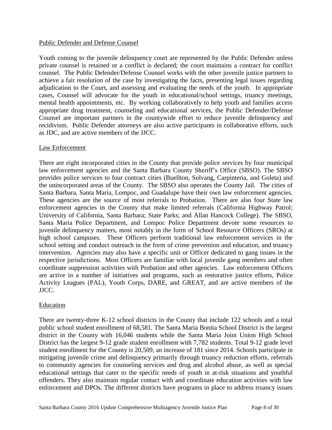# Public Defender and Defense Counsel

Youth coming to the juvenile delinquency court are represented by the Public Defender unless private counsel is retained or a conflict is declared; the court maintains a contract for conflict counsel. The Public Defender/Defense Counsel works with the other juvenile justice partners to achieve a fair resolution of the case by investigating the facts, presenting legal issues regarding adjudication to the Court, and assessing and evaluating the needs of the youth. In appropriate cases, Counsel will advocate for the youth in educational/school settings, truancy meetings, mental health appointments, etc. By working collaboratively to help youth and families access appropriate drug treatment, counseling and educational services, the Public Defender/Defense Counsel are important partners in the countywide effort to reduce juvenile delinquency and recidivism. Public Defender attorneys are also active participants in collaborative efforts, such as JDC, and are active members of the JJCC.

# Law Enforcement

There are eight incorporated cities in the County that provide police services by four municipal law enforcement agencies and the Santa Barbara County Sheriff's Office (SBSO). The SBSO provides police services to four contract cities (Buellton, Solvang, Carpinteria, and Goleta) and the unincorporated areas of the County. The SBSO also operates the County Jail. The cities of Santa Barbara, Santa Maria, Lompoc, and Guadalupe have their own law enforcement agencies. These agencies are the source of most referrals to Probation. There are also four State law enforcement agencies in the County that make limited referrals (California Highway Patrol; University of California, Santa Barbara; State Parks; and Allan Hancock College). The SBSO, Santa Maria Police Department, and Lompoc Police Department devote some resources to juvenile delinquency matters, most notably in the form of School Resource Officers (SROs) at high school campuses. These Officers perform traditional law enforcement services in the school setting and conduct outreach in the form of crime prevention and education, and truancy intervention. Agencies may also have a specific unit or Officer dedicated to gang issues in the respective jurisdictions. Most Officers are familiar with local juvenile gang members and often coordinate suppression activities with Probation and other agencies. Law enforcement Officers are active in a number of initiatives and programs, such as restorative justice efforts, Police Activity Leagues (PAL), Youth Corps, DARE, and GREAT, and are active members of the JJCC.

# Education

There are twenty-three K-12 school districts in the County that include 122 schools and a total public school student enrollment of 68,581*.* The Santa Maria Bonita School District is the largest district in the County with 16,046 students while the Santa Maria Joint Union High School District has the largest 9-12 grade student enrollment with 7,782 students. Total 9-12 grade level student enrollment for the County is 20,509, an increase of 181 since 2014. Schools participate in mitigating juvenile crime and delinquency primarily through truancy reduction efforts, referrals to community agencies for counseling services and drug and alcohol abuse, as well as special educational settings that cater to the specific needs of youth in at-risk situations and youthful offenders. They also maintain regular contact with and coordinate education activities with law enforcement and DPOs. The different districts have programs in place to address truancy issues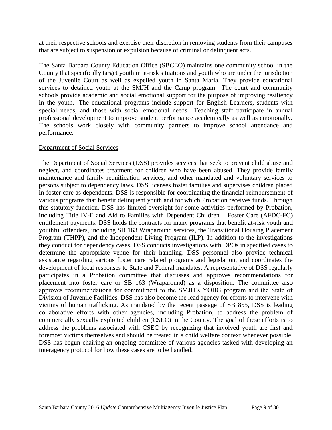at their respective schools and exercise their discretion in removing students from their campuses that are subject to suspension or expulsion because of criminal or delinquent acts.

The Santa Barbara County Education Office (SBCEO) maintains one community school in the County that specifically target youth in at-risk situations and youth who are under the jurisdiction of the Juvenile Court as well as expelled youth in Santa Maria. They provide educational services to detained youth at the SMJH and the Camp program. The court and community schools provide academic and social emotional support for the purpose of improving resiliency in the youth. The educational programs include support for English Learners, students with special needs, and those with social emotional needs. Teaching staff participate in annual professional development to improve student performance academically as well as emotionally. The schools work closely with community partners to improve school attendance and performance.

# Department of Social Services

The Department of Social Services (DSS) provides services that seek to prevent child abuse and neglect, and coordinates treatment for children who have been abused. They provide family maintenance and family reunification services, and other mandated and voluntary services to persons subject to dependency laws. DSS licenses foster families and supervises children placed in foster care as dependents. DSS is responsible for coordinating the financial reimbursement of various programs that benefit delinquent youth and for which Probation receives funds. Through this statutory function, DSS has limited oversight for some activities performed by Probation, including Title IV-E and Aid to Families with Dependent Children – Foster Care (AFDC-FC) entitlement payments. DSS holds the contracts for many programs that benefit at-risk youth and youthful offenders, including SB 163 Wraparound services, the Transitional Housing Placement Program (THPP), and the Independent Living Program (ILP). In addition to the investigations they conduct for dependency cases, DSS conducts investigations with DPOs in specified cases to determine the appropriate venue for their handling. DSS personnel also provide technical assistance regarding various foster care related programs and legislation, and coordinates the development of local responses to State and Federal mandates. A representative of DSS regularly participates in a Probation committee that discusses and approves recommendations for placement into foster care or SB 163 (Wraparound) as a disposition. The committee also approves recommendations for commitment to the SMJH's YOBG program and the State of Division of Juvenile Facilities. DSS has also become the lead agency for efforts to intervene with victims of human trafficking. As mandated by the recent passage of SB 855, DSS is leading collaborative efforts with other agencies, including Probation, to address the problem of commercially sexually exploited children (CSEC) in the County. The goal of these efforts is to address the problems associated with CSEC by recognizing that involved youth are first and foremost victims themselves and should be treated in a child welfare context whenever possible. DSS has begun chairing an ongoing committee of various agencies tasked with developing an interagency protocol for how these cases are to be handled.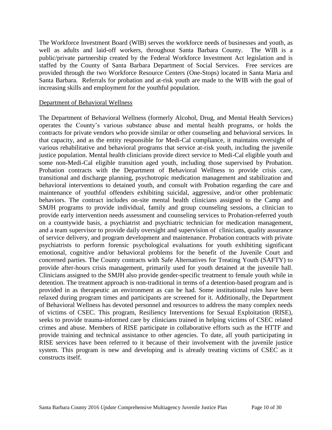The Workforce Investment Board (WIB) serves the workforce needs of businesses and youth, as well as adults and laid-off workers, throughout Santa Barbara County. The WIB is a public/private partnership created by the Federal Workforce Investment Act legislation and is staffed by the County of Santa Barbara Department of Social Services. Free services are provided through the two Workforce Resource Centers (One-Stops) located in Santa Maria and Santa Barbara. Referrals for probation and at-risk youth are made to the WIB with the goal of increasing skills and employment for the youthful population.

# Department of Behavioral Wellness

The Department of Behavioral Wellness (formerly Alcohol, Drug, and Mental Health Services) operates the County's various substance abuse and mental health programs, or holds the contracts for private vendors who provide similar or other counseling and behavioral services. In that capacity, and as the entity responsible for Medi-Cal compliance, it maintains oversight of various rehabilitative and behavioral programs that service at-risk youth, including the juvenile justice population. Mental health clinicians provide direct service to Medi-Cal eligible youth and some non-Medi-Cal eligible transition aged youth, including those supervised by Probation. Probation contracts with the Department of Behavioral Wellness to provide crisis care, transitional and discharge planning, psychotropic medication management and stabilization and behavioral interventions to detained youth, and consult with Probation regarding the care and maintenance of youthful offenders exhibiting suicidal, aggressive, and/or other problematic behaviors. The contract includes on-site mental health clinicians assigned to the Camp and SMJH programs to provide individual, family and group counseling sessions, a clinician to provide early intervention needs assessment and counseling services to Probation-referred youth on a countywide basis, a psychiatrist and psychiatric technician for medication management, and a team supervisor to provide daily oversight and supervision of clinicians, quality assurance of service delivery, and program development and maintenance. Probation contracts with private psychiatrists to perform forensic psychological evaluations for youth exhibiting significant emotional, cognitive and/or behavioral problems for the benefit of the Juvenile Court and concerned parties. The County contracts with Safe Alternatives for Treating Youth (SAFTY) to provide after-hours crisis management, primarily used for youth detained at the juvenile hall. Clinicians assigned to the SMJH also provide gender-specific treatment to female youth while in detention. The treatment approach is non-traditional in terms of a detention-based program and is provided in as therapeutic an environment as can be had. Some institutional rules have been relaxed during program times and participants are screened for it. Additionally, the Department of Behavioral Wellness has devoted personnel and resources to address the many complex needs of victims of CSEC. This program, Resiliency Interventions for Sexual Exploitation (RISE), seeks to provide trauma-informed care by clinicians trained in helping victims of CSEC related crimes and abuse. Members of RISE participate in collaborative efforts such as the HTTF and provide training and technical assistance to other agencies. To date, all youth participating in RISE services have been referred to it because of their involvement with the juvenile justice system. This program is new and developing and is already treating victims of CSEC as it constructs itself.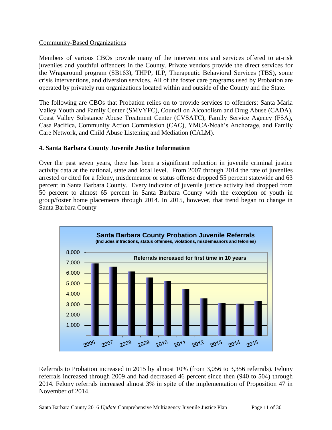# Community-Based Organizations

Members of various CBOs provide many of the interventions and services offered to at-risk juveniles and youthful offenders in the County. Private vendors provide the direct services for the Wraparound program (SB163), THPP, ILP, Therapeutic Behavioral Services (TBS), some crisis interventions, and diversion services. All of the foster care programs used by Probation are operated by privately run organizations located within and outside of the County and the State.

The following are CBOs that Probation relies on to provide services to offenders: Santa Maria Valley Youth and Family Center (SMVYFC), Council on Alcoholism and Drug Abuse (CADA), Coast Valley Substance Abuse Treatment Center (CVSATC), Family Service Agency (FSA), Casa Pacifica, Community Action Commission (CAC), YMCA/Noah's Anchorage, and Family Care Network, and Child Abuse Listening and Mediation (CALM).

# **4. Santa Barbara County Juvenile Justice Information**

Over the past seven years, there has been a significant reduction in juvenile criminal justice activity data at the national, state and local level. From 2007 through 2014 the rate of juveniles arrested or cited for a felony, misdemeanor or status offense dropped 55 percent statewide and 63 percent in Santa Barbara County. Every indicator of juvenile justice activity had dropped from 50 percent to almost 65 percent in Santa Barbara County with the exception of youth in group/foster home placements through 2014. In 2015, however, that trend began to change in Santa Barbara County



Referrals to Probation increased in 2015 by almost 10% (from 3,056 to 3,356 referrals). Felony referrals increased through 2009 and had decreased 46 percent since then (940 to 504) through 2014. Felony referrals increased almost 3% in spite of the implementation of Proposition 47 in November of 2014.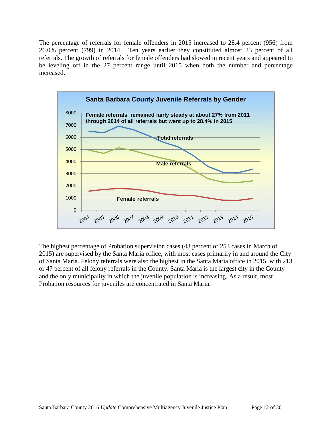The percentage of referrals for female offenders in 2015 increased to 28.4 percent (956) from 26.0% percent (799) in 2014. Ten years earlier they constituted almost 23 percent of all referrals. The growth of referrals for female offenders had slowed in recent years and appeared to be leveling off in the 27 percent range until 2015 when both the number and percentage increased.



The highest percentage of Probation supervision cases (43 percent or 253 cases in March of 2015) are supervised by the Santa Maria office, with most cases primarily in and around the City of Santa Maria. Felony referrals were also the highest in the Santa Maria office in 2015, with 213 or 47 percent of all felony referrals in the County. Santa Maria is the largest city in the County and the only municipality in which the juvenile population is increasing. As a result, most Probation resources for juveniles are concentrated in Santa Maria.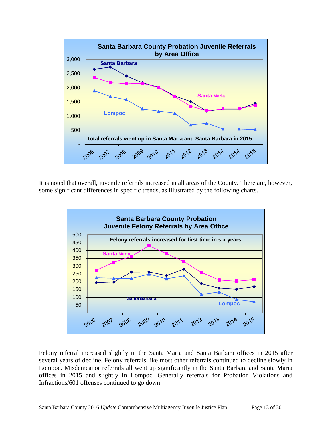

It is noted that overall, juvenile referrals increased in all areas of the County. There are, however, some significant differences in specific trends, as illustrated by the following charts.



Felony referral increased slightly in the Santa Maria and Santa Barbara offices in 2015 after several years of decline. Felony referrals like most other referrals continued to decline slowly in Lompoc. Misdemeanor referrals all went up significantly in the Santa Barbara and Santa Maria offices in 2015 and slightly in Lompoc. Generally referrals for Probation Violations and Infractions/601 offenses continued to go down.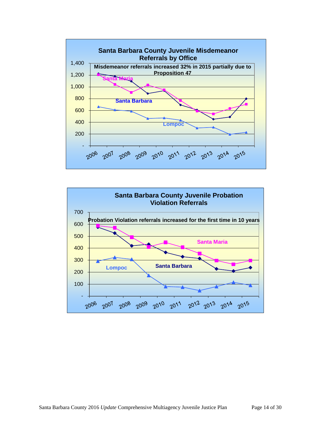

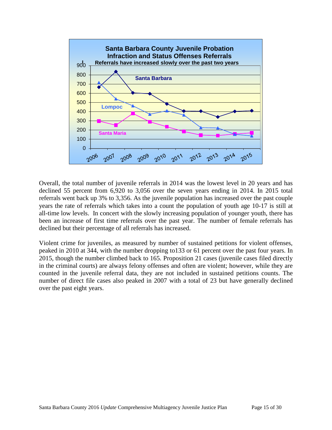

Overall, the total number of juvenile referrals in 2014 was the lowest level in 20 years and has declined 55 percent from 6,920 to 3,056 over the seven years ending in 2014. In 2015 total referrals went back up 3% to 3,356. As the juvenile population has increased over the past couple years the rate of referrals which takes into a count the population of youth age 10-17 is still at all-time low levels. In concert with the slowly increasing population of younger youth, there has been an increase of first time referrals over the past year. The number of female referrals has declined but their percentage of all referrals has increased.

Violent crime for juveniles, as measured by number of sustained petitions for violent offenses, peaked in 2010 at 344, with the number dropping to133 or 61 percent over the past four years. In 2015, though the number climbed back to 165. Proposition 21 cases (juvenile cases filed directly in the criminal courts) are always felony offenses and often are violent; however, while they are counted in the juvenile referral data, they are not included in sustained petitions counts. The number of direct file cases also peaked in 2007 with a total of 23 but have generally declined over the past eight years.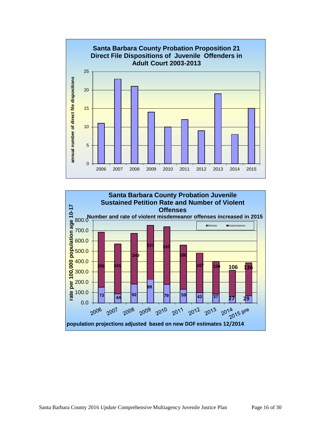

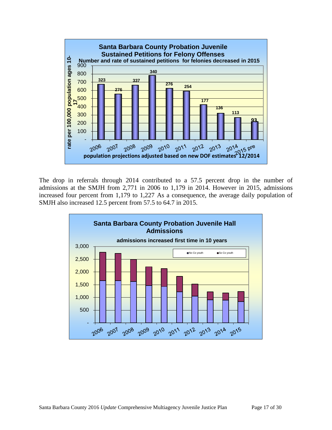

The drop in referrals through 2014 contributed to a 57.5 percent drop in the number of admissions at the SMJH from 2,771 in 2006 to 1,179 in 2014. However in 2015, admissions increased four percent from 1,179 to 1,227 As a consequence, the average daily population of SMJH also increased 12.5 percent from 57.5 to 64.7 in 2015.

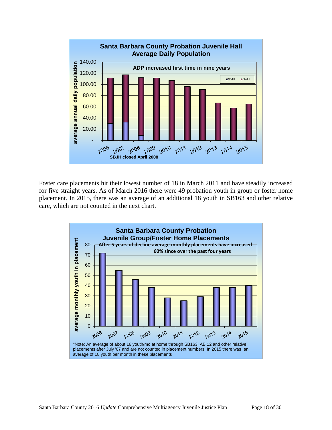

Foster care placements hit their lowest number of 18 in March 2011 and have steadily increased for five straight years. As of March 2016 there were 49 probation youth in group or foster home placement. In 2015, there was an average of an additional 18 youth in SB163 and other relative care, which are not counted in the next chart.

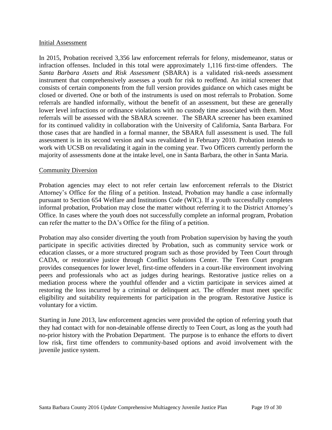#### Initial Assessment

In 2015, Probation received 3,356 law enforcement referrals for felony, misdemeanor, status or infraction offenses. Included in this total were approximately 1,116 first-time offenders. The *Santa Barbara Assets and Risk Assessment* (SBARA) is a validated risk-needs assessment instrument that comprehensively assesses a youth for risk to reoffend. An initial screener that consists of certain components from the full version provides guidance on which cases might be closed or diverted. One or both of the instruments is used on most referrals to Probation. Some referrals are handled informally, without the benefit of an assessment, but these are generally lower level infractions or ordinance violations with no custody time associated with them. Most referrals will be assessed with the SBARA screener. The SBARA screener has been examined for its continued validity in collaboration with the University of California, Santa Barbara. For those cases that are handled in a formal manner, the SBARA full assessment is used. The full assessment is in its second version and was revalidated in February 2010. Probation intends to work with UCSB on revalidating it again in the coming year. Two Officers currently perform the majority of assessments done at the intake level, one in Santa Barbara, the other in Santa Maria.

#### Community Diversion

Probation agencies may elect to not refer certain law enforcement referrals to the District Attorney's Office for the filing of a petition. Instead, Probation may handle a case informally pursuant to Section 654 Welfare and Institutions Code (WIC). If a youth successfully completes informal probation, Probation may close the matter without referring it to the District Attorney's Office. In cases where the youth does not successfully complete an informal program, Probation can refer the matter to the DA's Office for the filing of a petition.

Probation may also consider diverting the youth from Probation supervision by having the youth participate in specific activities directed by Probation, such as community service work or education classes, or a more structured program such as those provided by Teen Court through CADA, or restorative justice through Conflict Solutions Center. The Teen Court program provides consequences for lower level, first-time offenders in a court-like environment involving peers and professionals who act as judges during hearings. Restorative justice relies on a mediation process where the youthful offender and a victim participate in services aimed at restoring the loss incurred by a criminal or delinquent act. The offender must meet specific eligibility and suitability requirements for participation in the program. Restorative Justice is voluntary for a victim.

Starting in June 2013, law enforcement agencies were provided the option of referring youth that they had contact with for non-detainable offense directly to Teen Court*,* as long as the youth had no-prior history with the Probation Department. The purpose is to enhance the efforts to divert low risk, first time offenders to community-based options and avoid involvement with the juvenile justice system.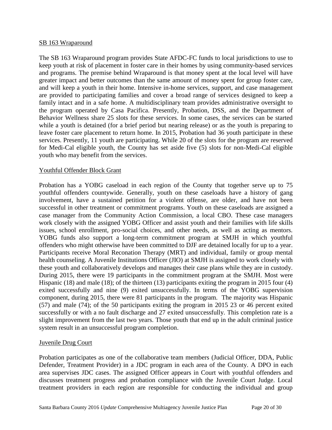#### SB 163 Wraparound

The SB 163 Wraparound program provides State AFDC-FC funds to local jurisdictions to use to keep youth at risk of placement in foster care in their homes by using community-based services and programs. The premise behind Wraparound is that money spent at the local level will have greater impact and better outcomes than the same amount of money spent for group foster care, and will keep a youth in their home. Intensive in-home services, support, and case management are provided to participating families and cover a broad range of services designed to keep a family intact and in a safe home. A multidisciplinary team provides administrative oversight to the program operated by Casa Pacifica. Presently, Probation, DSS, and the Department of Behavior Wellness share 25 slots for these services. In some cases, the services can be started while a youth is detained (for a brief period but nearing release) or as the youth is preparing to leave foster care placement to return home. In 2015, Probation had 36 youth participate in these services. Presently, 11 youth are participating. While 20 of the slots for the program are reserved for Medi-Cal eligible youth, the County has set aside five (5) slots for non-Medi-Cal eligible youth who may benefit from the services.

# Youthful Offender Block Grant

Probation has a YOBG caseload in each region of the County that together serve up to 75 youthful offenders countywide. Generally, youth on these caseloads have a history of gang involvement, have a sustained petition for a violent offense, are older, and have not been successful in other treatment or commitment programs. Youth on these caseloads are assigned a case manager from the Community Action Commission, a local CBO. These case managers work closely with the assigned YOBG Officer and assist youth and their families with life skills issues, school enrollment, pro-social choices, and other needs, as well as acting as mentors. YOBG funds also support a long-term commitment program at SMJH in which youthful offenders who might otherwise have been committed to DJF are detained locally for up to a year. Participants receive Moral Reconation Therapy (MRT) and individual, family or group mental health counseling. A Juvenile Institutions Officer (JIO) at SMJH is assigned to work closely with these youth and collaboratively develops and manages their case plans while they are in custody. During 2015, there were 19 participants in the commitment program at the SMJH. Most were Hispanic (18) and male (18); of the thirteen (13) participants exiting the program in 2015 four (4) exited successfully and nine (9) exited unsuccessfully. In terms of the YOBG supervision component, during 2015, there were 81 participants in the program. The majority was Hispanic (57) and male (74); of the 50 participants exiting the program in 2015 23 or 46 percent exited successfully or with a no fault discharge and 27 exited unsuccessfully. This completion rate is a slight improvement from the last two years. Those youth that end up in the adult criminal justice system result in an unsuccessful program completion.

#### Juvenile Drug Court

Probation participates as one of the collaborative team members (Judicial Officer, DDA, Public Defender, Treatment Provider) in a JDC program in each area of the County. A DPO in each area supervises JDC cases. The assigned Officer appears in Court with youthful offenders and discusses treatment progress and probation compliance with the Juvenile Court Judge. Local treatment providers in each region are responsible for conducting the individual and group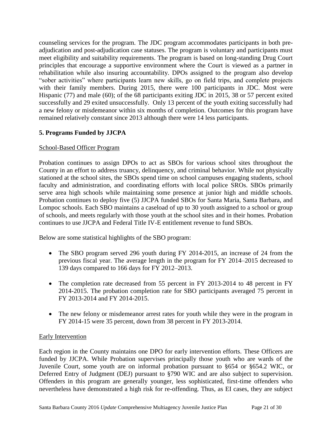counseling services for the program. The JDC program accommodates participants in both preadjudication and post-adjudication case statuses. The program is voluntary and participants must meet eligibility and suitability requirements. The program is based on long-standing Drug Court principles that encourage a supportive environment where the Court is viewed as a partner in rehabilitation while also insuring accountability. DPOs assigned to the program also develop "sober activities" where participants learn new skills, go on field trips, and complete projects with their family members. During 2015, there were 100 participants in JDC. Most were Hispanic (77) and male (60); of the 68 participants exiting JDC in 2015, 38 or 57 percent exited successfully and 29 exited unsuccessfully. Only 13 percent of the youth exiting successfully had a new felony or misdemeanor within six months of completion. Outcomes for this program have remained relatively constant since 2013 although there were 14 less participants.

# **5. Programs Funded by JJCPA**

# School-Based Officer Program

Probation continues to assign DPOs to act as SBOs for various school sites throughout the County in an effort to address truancy, delinquency, and criminal behavior. While not physically stationed at the school sites, the SBOs spend time on school campuses engaging students, school faculty and administration, and coordinating efforts with local police SROs. SBOs primarily serve area high schools while maintaining some presence at junior high and middle schools. Probation continues to deploy five (5) JJCPA funded SBOs for Santa Maria, Santa Barbara, and Lompoc schools. Each SBO maintains a caseload of up to 30 youth assigned to a school or group of schools, and meets regularly with those youth at the school sites and in their homes. Probation continues to use JJCPA and Federal Title IV-E entitlement revenue to fund SBOs.

Below are some statistical highlights of the SBO program:

- The SBO program served 296 youth during FY 2014-2015, an increase of 24 from the previous fiscal year. The average length in the program for FY 2014–2015 decreased to 139 days compared to 166 days for FY 2012–2013.
- The completion rate decreased from 55 percent in FY 2013-2014 to 48 percent in FY 2014-2015. The probation completion rate for SBO participants averaged 75 percent in FY 2013-2014 and FY 2014-2015.
- The new felony or misdemeanor arrest rates for youth while they were in the program in FY 2014-15 were 35 percent, down from 38 percent in FY 2013-2014.

# Early Intervention

Each region in the County maintains one DPO for early intervention efforts. These Officers are funded by JJCPA. While Probation supervises principally those youth who are wards of the Juvenile Court, some youth are on informal probation pursuant to §654 or §654.2 WIC, or Deferred Entry of Judgment (DEJ) pursuant to §790 WIC and are also subject to supervision. Offenders in this program are generally younger, less sophisticated, first-time offenders who nevertheless have demonstrated a high risk for re-offending. Thus, as EI cases, they are subject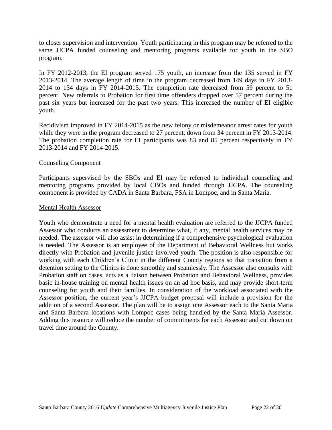to closer supervision and intervention. Youth participating in this program may be referred to the same JJCPA funded counseling and mentoring programs available for youth in the SBO program.

In FY 2012-2013, the EI program served 175 youth, an increase from the 135 served in FY 2013-2014. The average length of time in the program decreased from 149 days in FY 2013- 2014 to 134 days in FY 2014-2015. The completion rate decreased from 59 percent to 51 percent. New referrals to Probation for first time offenders dropped over 57 percent during the past six years but increased for the past two years. This increased the number of EI eligible youth.

Recidivism improved in FY 2014-2015 as the new felony or misdemeanor arrest rates for youth while they were in the program decreased to 27 percent, down from 34 percent in FY 2013-2014. The probation completion rate for EI participants was 83 and 85 percent respectively in FY 2013-2014 and FY 2014-2015.

# Counseling Component

Participants supervised by the SBOs and EI may be referred to individual counseling and mentoring programs provided by local CBOs and funded through JJCPA. The counseling component is provided by CADA in Santa Barbara, FSA in Lompoc, and in Santa Maria.

#### Mental Health Assessor

Youth who demonstrate a need for a mental health evaluation are referred to the JJCPA funded Assessor who conducts an assessment to determine what, if any, mental health services may be needed. The assessor will also assist in determining if a comprehensive psychological evaluation is needed. The Assessor is an employee of the Department of Behavioral Wellness but works directly with Probation and juvenile justice involved youth. The position is also responsible for working with each Children's Clinic in the different County regions so that transition from a detention setting to the Clinics is done smoothly and seamlessly. The Assessor also consults with Probation staff on cases, acts as a liaison between Probation and Behavioral Wellness, provides basic in-house training on mental health issues on an ad hoc basis, and may provide short-term counseling for youth and their families. In consideration of the workload associated with the Assessor position, the current year's JJCPA budget proposal will include a provision for the addition of a second Assessor. The plan will be to assign one Assessor each to the Santa Maria and Santa Barbara locations with Lompoc cases being handled by the Santa Maria Assessor. Adding this resource will reduce the number of commitments for each Assessor and cut down on travel time around the County.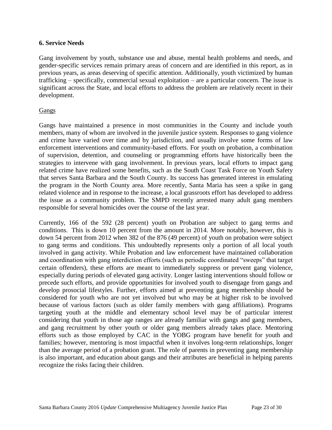# **6. Service Needs**

Gang involvement by youth, substance use and abuse, mental health problems and needs, and gender-specific services remain primary areas of concern and are identified in this report, as in previous years, as areas deserving of specific attention. Additionally, youth victimized by human trafficking – specifically, commercial sexual exploitation – are a particular concern. The issue is significant across the State, and local efforts to address the problem are relatively recent in their development.

# **Gangs**

Gangs have maintained a presence in most communities in the County and include youth members, many of whom are involved in the juvenile justice system. Responses to gang violence and crime have varied over time and by jurisdiction, and usually involve some forms of law enforcement interventions and community-based efforts. For youth on probation, a combination of supervision, detention, and counseling or programming efforts have historically been the strategies to intervene with gang involvement. In previous years, local efforts to impact gang related crime have realized some benefits, such as the South Coast Task Force on Youth Safety that serves Santa Barbara and the South County. Its success has generated interest in emulating the program in the North County area. More recently, Santa Maria has seen a spike in gang related violence and in response to the increase, a local grassroots effort has developed to address the issue as a community problem. The SMPD recently arrested many adult gang members responsible for several homicides over the course of the last year.

Currently, 166 of the 592 (28 percent) youth on Probation are subject to gang terms and conditions. This is down 10 percent from the amount in 2014. More notably, however, this is down 54 percent from 2012 when 382 of the 876 (49 percent) of youth on probation were subject to gang terms and conditions. This undoubtedly represents only a portion of all local youth involved in gang activity. While Probation and law enforcement have maintained collaboration and coordination with gang interdiction efforts (such as periodic coordinated "sweeps" that target certain offenders), these efforts are meant to immediately suppress or prevent gang violence, especially during periods of elevated gang activity. Longer lasting interventions should follow or precede such efforts, and provide opportunities for involved youth to disengage from gangs and develop prosocial lifestyles. Further, efforts aimed at preventing gang membership should be considered for youth who are not yet involved but who may be at higher risk to be involved because of various factors (such as older family members with gang affiliations). Programs targeting youth at the middle and elementary school level may be of particular interest considering that youth in those age ranges are already familiar with gangs and gang members, and gang recruitment by other youth or older gang members already takes place. Mentoring efforts such as those employed by CAC in the YOBG program have benefit for youth and families; however, mentoring is most impactful when it involves long-term relationships, longer than the average period of a probation grant. The role of parents in preventing gang membership is also important, and education about gangs and their attributes are beneficial in helping parents recognize the risks facing their children.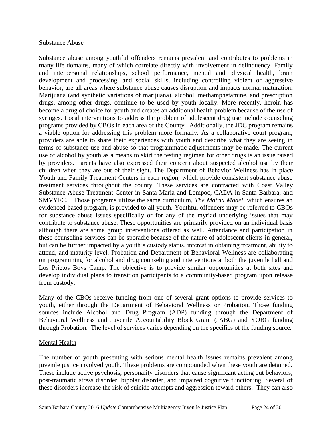#### Substance Abuse

Substance abuse among youthful offenders remains prevalent and contributes to problems in many life domains, many of which correlate directly with involvement in delinquency. Family and interpersonal relationships, school performance, mental and physical health, brain development and processing, and social skills, including controlling violent or aggressive behavior, are all areas where substance abuse causes disruption and impacts normal maturation. Marijuana (and synthetic variations of marijuana), alcohol, methamphetamine, and prescription drugs, among other drugs, continue to be used by youth locally. More recently, heroin has become a drug of choice for youth and creates an additional health problem because of the use of syringes. Local interventions to address the problem of adolescent drug use include counseling programs provided by CBOs in each area of the County. Additionally, the JDC program remains a viable option for addressing this problem more formally. As a collaborative court program, providers are able to share their experiences with youth and describe what they are seeing in terms of substance use and abuse so that programmatic adjustments may be made. The current use of alcohol by youth as a means to skirt the testing regimen for other drugs is an issue raised by providers. Parents have also expressed their concern about suspected alcohol use by their children when they are out of their sight. The Department of Behavior Wellness has in place Youth and Family Treatment Centers in each region, which provide consistent substance abuse treatment services throughout the county. These services are contracted with Coast Valley Substance Abuse Treatment Center in Santa Maria and Lompoc, CADA in Santa Barbara, and SMVYFC. Those programs utilize the same curriculum, *The Matrix Model*, which ensures an evidenced-based program, is provided to all youth. Youthful offenders may be referred to CBOs for substance abuse issues specifically or for any of the myriad underlying issues that may contribute to substance abuse. These opportunities are primarily provided on an individual basis although there are some group interventions offered as well. Attendance and participation in these counseling services can be sporadic because of the nature of adolescent clients in general, but can be further impacted by a youth's custody status, interest in obtaining treatment, ability to attend, and maturity level. Probation and Department of Behavioral Wellness are collaborating on programming for alcohol and drug counseling and interventions at both the juvenile hall and Los Prietos Boys Camp. The objective is to provide similar opportunities at both sites and develop individual plans to transition participants to a community-based program upon release from custody.

Many of the CBOs receive funding from one of several grant options to provide services to youth, either through the Department of Behavioral Wellness or Probation. Those funding sources include Alcohol and Drug Program (ADP) funding through the Department of Behavioral Wellness and Juvenile Accountability Block Grant (JABG) and YOBG funding through Probation. The level of services varies depending on the specifics of the funding source.

# Mental Health

The number of youth presenting with serious mental health issues remains prevalent among juvenile justice involved youth. These problems are compounded when these youth are detained. These include active psychosis, personality disorders that cause significant acting out behaviors, post-traumatic stress disorder, bipolar disorder, and impaired cognitive functioning. Several of these disorders increase the risk of suicide attempts and aggression toward others. They can also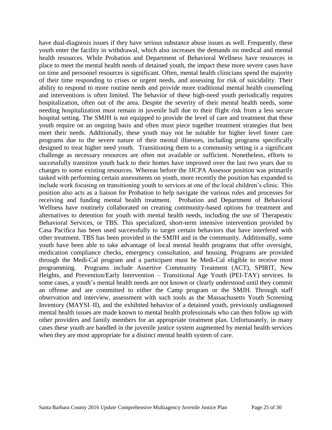have dual-diagnosis issues if they have serious substance abuse issues as well. Frequently, these youth enter the facility in withdrawal, which also increases the demands on medical and mental health resources. While Probation and Department of Behavioral Wellness have resources in place to meet the mental health needs of detained youth, the impact these more severe cases have on time and personnel resources is significant. Often, mental health clinicians spend the majority of their time responding to crises or urgent needs, and assessing for risk of suicidality. Their ability to respond to more routine needs and provide more traditional mental health counseling and interventions is often limited. The behavior of these high-need youth periodically requires hospitalization, often out of the area. Despite the severity of their mental health needs, some needing hospitalization must remain in juvenile hall due to their flight risk from a less secure hospital setting. The SMJH is not equipped to provide the level of care and treatment that these youth require on an ongoing basis and often must piece together treatment strategies that best meet their needs. Additionally, these youth may not be suitable for higher level foster care programs due to the severe nature of their mental illnesses, including programs specifically designed to treat higher need youth. Transitioning them to a community setting is a significant challenge as necessary resources are often not available or sufficient. Nonetheless, efforts to successfully transition youth back to their homes have improved over the last two years due to changes to some existing resources. Whereas before the JJCPA Assessor position was primarily tasked with performing certain assessments on youth, more recently the position has expanded to include work focusing on transitioning youth to services at one of the local children's clinic. This position also acts as a liaison for Probation to help navigate the various rules and processes for receiving and funding mental health treatment. Probation and Department of Behavioral Wellness have routinely collaborated on creating community-based options for treatment and alternatives to detention for youth with mental health needs, including the use of Therapeutic Behavioral Services, or TBS. This specialized, short-term intensive intervention provided by Casa Pacifica has been used successfully to target certain behaviors that have interfered with other treatment. TBS has been provided in the SMJH and in the community. Additionally, some youth have been able to take advantage of local mental health programs that offer oversight, medication compliance checks, emergency consultation, and housing. Programs are provided through the Medi-Cal program and a participant must be Medi-Cal eligible to receive most programming. Programs include Assertive Community Treatment (ACT), SPIRIT, New Heights, and Prevention/Early Intervention – Transitional Age Youth (PEI-TAY) services. In some cases, a youth's mental health needs are not known or clearly understood until they commit an offense and are committed to either the Camp program or the SMJH. Through staff observation and interview, assessment with such tools as the Massachusetts Youth Screening Inventory (MAYSI–II), and the exhibited behavior of a detained youth, previously undiagnosed mental health issues are made known to mental health professionals who can then follow up with other providers and family members for an appropriate treatment plan. Unfortunately, in many cases these youth are handled in the juvenile justice system augmented by mental health services when they are most appropriate for a distinct mental health system of care.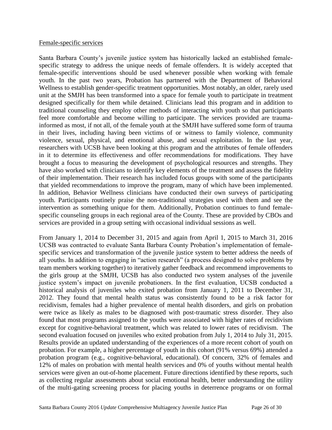#### Female-specific services

Santa Barbara County's juvenile justice system has historically lacked an established femalespecific strategy to address the unique needs of female offenders. It is widely accepted that female-specific interventions should be used whenever possible when working with female youth. In the past two years, Probation has partnered with the Department of Behavioral Wellness to establish gender-specific treatment opportunities. Most notably, an older, rarely used unit at the SMJH has been transformed into a space for female youth to participate in treatment designed specifically for them while detained. Clinicians lead this program and in addition to traditional counseling they employ other methods of interacting with youth so that participants feel more comfortable and become willing to participate. The services provided are traumainformed as most, if not all, of the female youth at the SMJH have suffered some form of trauma in their lives, including having been victims of or witness to family violence, community violence, sexual, physical, and emotional abuse, and sexual exploitation. In the last year, researchers with UCSB have been looking at this program and the attributes of female offenders in it to determine its effectiveness and offer recommendations for modifications. They have brought a focus to measuring the development of psychological resources and strengths. They have also worked with clinicians to identify key elements of the treatment and assess the fidelity of their implementation. Their research has included focus groups with some of the participants that yielded recommendations to improve the program, many of which have been implemented. In addition, Behavior Wellness clinicians have conducted their own surveys of participating youth. Participants routinely praise the non-traditional strategies used with them and see the intervention as something unique for them. Additionally, Probation continues to fund femalespecific counseling groups in each regional area of the County. These are provided by CBOs and services are provided in a group setting with occasional individual sessions as well.

From January 1, 2014 to December 31, 2015 and again from April 1, 2015 to March 31, 2016 UCSB was contracted to evaluate Santa Barbara County Probation's implementation of femalespecific services and transformation of the juvenile justice system to better address the needs of all youths. In addition to engaging in "action research" (a process designed to solve problems by team members working together) to iteratively gather feedback and recommend improvements to the girls group at the SMJH, UCSB has also conducted two system analyses of the juvenile justice system's impact on juvenile probationers. In the first evaluation, UCSB conducted a historical analysis of juveniles who exited probation from January 1, 2011 to December 31, 2012. They found that mental health status was consistently found to be a risk factor for recidivism, females had a higher prevalence of mental health disorders, and girls on probation were twice as likely as males to be diagnosed with post-traumatic stress disorder. They also found that most programs assigned to the youths were associated with higher rates of recidivism except for cognitive-behavioral treatment, which was related to lower rates of recidivism. The second evaluation focused on juveniles who exited probation from July 1, 2014 to July 31, 2015. Results provide an updated understanding of the experiences of a more recent cohort of youth on probation. For example, a higher percentage of youth in this cohort (91% versus 69%) attended a probation program (e.g., cognitive-behavioral, educational). Of concern, 32% of females and 12% of males on probation with mental health services and 0% of youths without mental health services were given an out-of-home placement. Future directions identified by these reports, such as collecting regular assessments about social emotional health, better understanding the utility of the multi-gating screening process for placing youths in deterrence programs or on formal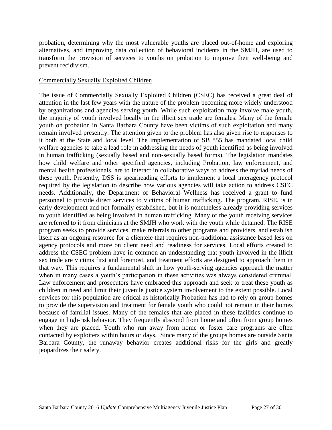probation, determining why the most vulnerable youths are placed out-of-home and exploring alternatives, and improving data collection of behavioral incidents in the SMJH, are used to transform the provision of services to youths on probation to improve their well-being and prevent recidivism.

# Commercially Sexually Exploited Children

The issue of Commercially Sexually Exploited Children (CSEC) has received a great deal of attention in the last few years with the nature of the problem becoming more widely understood by organizations and agencies serving youth. While such exploitation may involve male youth, the majority of youth involved locally in the illicit sex trade are females. Many of the female youth on probation in Santa Barbara County have been victims of such exploitation and many remain involved presently. The attention given to the problem has also given rise to responses to it both at the State and local level. The implementation of SB 855 has mandated local child welfare agencies to take a lead role in addressing the needs of youth identified as being involved in human trafficking (sexually based and non-sexually based forms). The legislation mandates how child welfare and other specified agencies, including Probation, law enforcement, and mental health professionals, are to interact in collaborative ways to address the myriad needs of these youth. Presently, DSS is spearheading efforts to implement a local interagency protocol required by the legislation to describe how various agencies will take action to address CSEC needs. Additionally, the Department of Behavioral Wellness has received a grant to fund personnel to provide direct services to victims of human trafficking. The program, RISE, is in early development and not formally established, but it is nonetheless already providing services to youth identified as being involved in human trafficking. Many of the youth receiving services are referred to it from clinicians at the SMJH who work with the youth while detained. The RISE program seeks to provide services, make referrals to other programs and providers, and establish itself as an ongoing resource for a clientele that requires non-traditional assistance based less on agency protocols and more on client need and readiness for services. Local efforts created to address the CSEC problem have in common an understanding that youth involved in the illicit sex trade are victims first and foremost, and treatment efforts are designed to approach them in that way. This requires a fundamental shift in how youth-serving agencies approach the matter when in many cases a youth's participation in these activities was always considered criminal. Law enforcement and prosecutors have embraced this approach and seek to treat these youth as children in need and limit their juvenile justice system involvement to the extent possible. Local services for this population are critical as historically Probation has had to rely on group homes to provide the supervision and treatment for female youth who could not remain in their homes because of familial issues. Many of the females that are placed in these facilities continue to engage in high-risk behavior. They frequently abscond from home and often from group homes when they are placed. Youth who run away from home or foster care programs are often contacted by exploiters within hours or days. Since many of the groups homes are outside Santa Barbara County, the runaway behavior creates additional risks for the girls and greatly jeopardizes their safety.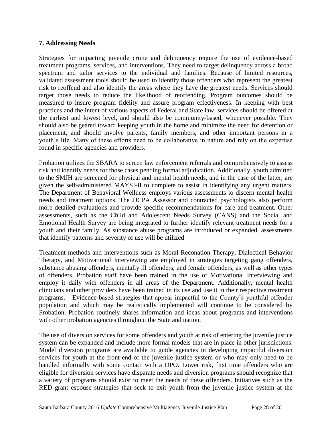# **7. Addressing Needs**

Strategies for impacting juvenile crime and delinquency require the use of evidence-based treatment programs, services, and interventions. They need to target delinquency across a broad spectrum and tailor services to the individual and families. Because of limited resources, validated assessment tools should be used to identify those offenders who represent the greatest risk to reoffend and also identify the areas where they have the greatest needs. Services should target those needs to reduce the likelihood of reoffending. Program outcomes should be measured to insure program fidelity and assure program effectiveness. In keeping with best practices and the intent of various aspects of Federal and State law, services should be offered at the earliest and lowest level, and should also be community-based, whenever possible. They should also be geared toward keeping youth in the home and minimize the need for detention or placement, and should involve parents, family members, and other important persons in a youth's life. Many of these efforts need to be collaborative in nature and rely on the expertise found in specific agencies and providers.

Probation utilizes the SBARA to screen law enforcement referrals and comprehensively to assess risk and identify needs for those cases pending formal adjudication. Additionally, youth admitted to the SMJH are screened for physical and mental health needs, and in the case of the latter, are given the self-administered MAYSI-II to complete to assist in identifying any urgent matters. The Department of Behavioral Wellness employs various assessments to discern mental health needs and treatment options. The JJCPA Assessor and contracted psychologists also perform more detailed evaluations and provide specific recommendations for care and treatment. Other assessments, such as the Child and Adolescent Needs Survey (CANS) and the Social and Emotional Health Survey are being integrated to further identify relevant treatment needs for a youth and their family. As substance abuse programs are introduced or expanded, assessments that identify patterns and severity of use will be utilized

Treatment methods and interventions such as Moral Reconation Therapy, Dialectical Behavior Therapy, and Motivational Interviewing are employed in strategies targeting gang offenders, substance abusing offenders, mentally ill offenders, and female offenders, as well as other types of offenders. Probation staff have been trained in the use of Motivational Interviewing and employ it daily with offenders in all areas of the Department. Additionally, mental health clinicians and other providers have been trained in its use and use it in their respective treatment programs. Evidence-based strategies that appear impactful to the County's youthful offender population and which may be realistically implemented will continue to be considered by Probation. Probation routinely shares information and ideas about programs and interventions with other probation agencies throughout the State and nation.

The use of diversion services for some offenders and youth at risk of entering the juvenile justice system can be expanded and include more formal models that are in place in other jurisdictions. Model diversion programs are available to guide agencies in developing impactful diversion services for youth at the front-end of the juvenile justice system or who may only need to be handled informally with some contact with a DPO. Lower risk, first time offenders who are eligible for diversion services have disparate needs and diversion programs should recognize that a variety of programs should exist to meet the needs of these offenders. Initiatives such as the RED grant espouse strategies that seek to exit youth from the juvenile justice system at the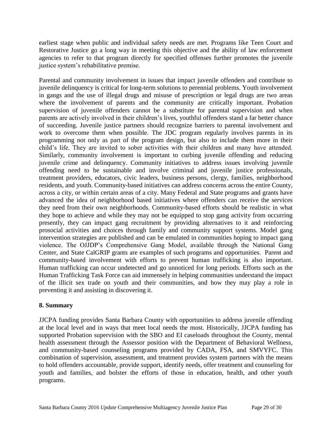earliest stage when public and individual safety needs are met. Programs like Teen Court and Restorative Justice go a long way in meeting this objective and the ability of law enforcement agencies to refer to that program directly for specified offenses further promotes the juvenile justice system's rehabilitative premise.

Parental and community involvement in issues that impact juvenile offenders and contribute to juvenile delinquency is critical for long-term solutions to perennial problems. Youth involvement in gangs and the use of illegal drugs and misuse of prescription or legal drugs are two areas where the involvement of parents and the community are critically important. Probation supervision of juvenile offenders cannot be a substitute for parental supervision and when parents are actively involved in their children's lives, youthful offenders stand a far better chance of succeeding. Juvenile justice partners should recognize barriers to parental involvement and work to overcome them when possible. The JDC program regularly involves parents in its programming not only as part of the program design, but also to include them more in their child's life. They are invited to sober activities with their children and many have attended. Similarly, community involvement is important to curbing juvenile offending and reducing juvenile crime and delinquency. Community initiatives to address issues involving juvenile offending need to be sustainable and involve criminal and juvenile justice professionals, treatment providers, educators, civic leaders, business persons, clergy, families, neighborhood residents, and youth. Community-based initiatives can address concerns across the entire County, across a city, or within certain areas of a city. Many Federal and State programs and grants have advanced the idea of neighborhood based initiatives where offenders can receive the services they need from their own neighborhoods. Community-based efforts should be realistic in what they hope to achieve and while they may not be equipped to stop gang activity from occurring presently, they can impact gang recruitment by providing alternatives to it and reinforcing prosocial activities and choices through family and community support systems. Model gang intervention strategies are published and can be emulated in communities hoping to impact gang violence. The OJJDP's Comprehensive Gang Model, available through the National Gang Center, and State CalGRIP grants are examples of such programs and opportunities. Parent and community-based involvement with efforts to prevent human trafficking is also important. Human trafficking can occur undetected and go unnoticed for long periods. Efforts such as the Human Trafficking Task Force can aid immensely in helping communities understand the impact of the illicit sex trade on youth and their communities, and how they may play a role in preventing it and assisting in discovering it.

# **8. Summary**

JJCPA funding provides Santa Barbara County with opportunities to address juvenile offending at the local level and in ways that meet local needs the most. Historically, JJCPA funding has supported Probation supervision with the SBO and EI caseloads throughout the County, mental health assessment through the Assessor position with the Department of Behavioral Wellness, and community-based counseling programs provided by CADA, FSA, and SMVYFC. This combination of supervision, assessment, and treatment provides system partners with the means to hold offenders accountable, provide support, identify needs, offer treatment and counseling for youth and families, and bolster the efforts of those in education, health, and other youth programs.